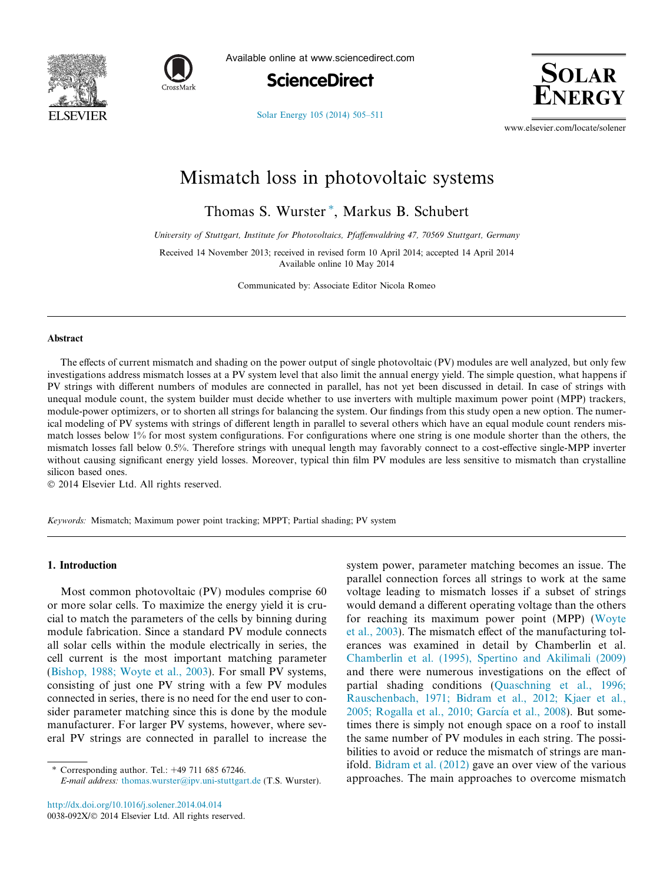



Available online at www.sciencedirect.com





[Solar Energy 105 \(2014\) 505–511](http://dx.doi.org/10.1016/j.solener.2014.04.014)

www.elsevier.com/locate/solener

# Mismatch loss in photovoltaic systems

Thomas S. Wurster<sup>\*</sup>, Markus B. Schubert

University of Stuttgart, Institute for Photovoltaics, Pfaffenwaldring 47, 70569 Stuttgart, Germany

Received 14 November 2013; received in revised form 10 April 2014; accepted 14 April 2014 Available online 10 May 2014

Communicated by: Associate Editor Nicola Romeo

### Abstract

The effects of current mismatch and shading on the power output of single photovoltaic (PV) modules are well analyzed, but only few investigations address mismatch losses at a PV system level that also limit the annual energy yield. The simple question, what happens if PV strings with different numbers of modules are connected in parallel, has not yet been discussed in detail. In case of strings with unequal module count, the system builder must decide whether to use inverters with multiple maximum power point (MPP) trackers, module-power optimizers, or to shorten all strings for balancing the system. Our findings from this study open a new option. The numerical modeling of PV systems with strings of different length in parallel to several others which have an equal module count renders mismatch losses below 1% for most system configurations. For configurations where one string is one module shorter than the others, the mismatch losses fall below 0.5%. Therefore strings with unequal length may favorably connect to a cost-effective single-MPP inverter without causing significant energy yield losses. Moreover, typical thin film PV modules are less sensitive to mismatch than crystalline silicon based ones.

© 2014 Elsevier Ltd. All rights reserved.

Keywords: Mismatch; Maximum power point tracking; MPPT; Partial shading; PV system

## 1. Introduction

Most common photovoltaic (PV) modules comprise 60 or more solar cells. To maximize the energy yield it is crucial to match the parameters of the cells by binning during module fabrication. Since a standard PV module connects all solar cells within the module electrically in series, the cell current is the most important matching parameter ([Bishop, 1988; Woyte et al., 2003\)](#page--1-0). For small PV systems, consisting of just one PV string with a few PV modules connected in series, there is no need for the end user to consider parameter matching since this is done by the module manufacturer. For larger PV systems, however, where several PV strings are connected in parallel to increase the

<http://dx.doi.org/10.1016/j.solener.2014.04.014> 0038-092X/© 2014 Elsevier Ltd. All rights reserved. system power, parameter matching becomes an issue. The parallel connection forces all strings to work at the same voltage leading to mismatch losses if a subset of strings would demand a different operating voltage than the others for reaching its maximum power point (MPP) ([Woyte](#page--1-0) [et al., 2003\)](#page--1-0). The mismatch effect of the manufacturing tolerances was examined in detail by Chamberlin et al. [Chamberlin et al. \(1995\), Spertino and Akilimali \(2009\)](#page--1-0) and there were numerous investigations on the effect of partial shading conditions [\(Quaschning et al., 1996;](#page--1-0) [Rauschenbach, 1971; Bidram et al., 2012; Kjaer et al.,](#page--1-0) 2005; Rogalla et al., 2010; García et al., 2008). But sometimes there is simply not enough space on a roof to install the same number of PV modules in each string. The possibilities to avoid or reduce the mismatch of strings are manifold. [Bidram et al. \(2012\)](#page--1-0) gave an over view of the various approaches. The main approaches to overcome mismatch

Corresponding author. Tel.: +49 711 685 67246.

E-mail address: [thomas.wurster@ipv.uni-stuttgart.de](mailto:thomas.wurster@ipv.uni-stuttgart.de) (T.S. Wurster).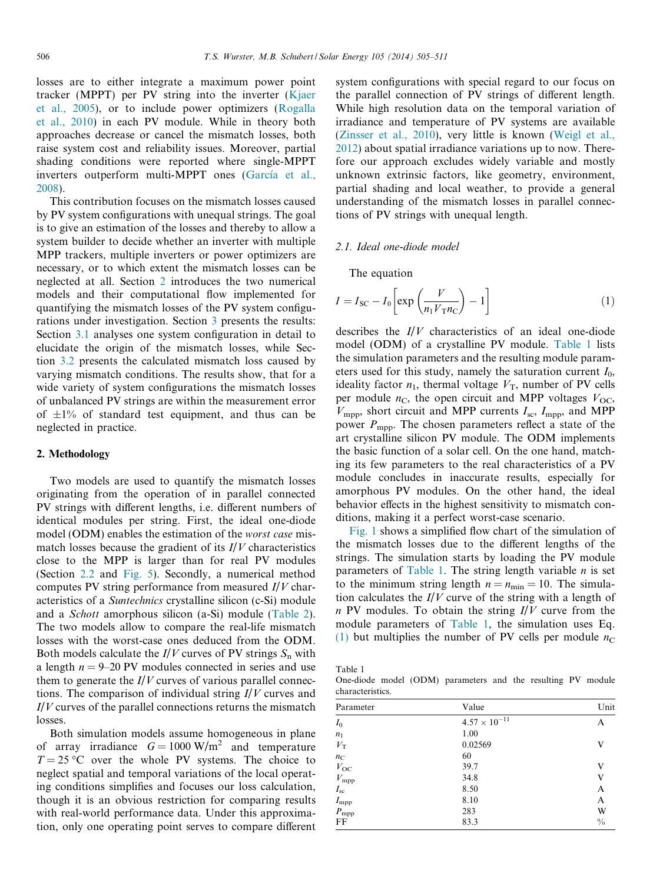losses are to either integrate a maximum power point tracker (MPPT) per PV string into the inverter ([Kjaer](#page--1-0) [et al., 2005](#page--1-0)), or to include power optimizers [\(Rogalla](#page--1-0) [et al., 2010\)](#page--1-0) in each PV module. While in theory both approaches decrease or cancel the mismatch losses, both raise system cost and reliability issues. Moreover, partial shading conditions were reported where single-MPPT inverters outperform multi-MPPT ones (García et al., [2008\)](#page--1-0).

This contribution focuses on the mismatch losses caused by PV system configurations with unequal strings. The goal is to give an estimation of the losses and thereby to allow a system builder to decide whether an inverter with multiple MPP trackers, multiple inverters or power optimizers are necessary, or to which extent the mismatch losses can be neglected at all. Section 2 introduces the two numerical models and their computational flow implemented for quantifying the mismatch losses of the PV system configurations under investigation. Section [3](#page--1-0) presents the results: Section [3.1](#page--1-0) analyses one system configuration in detail to elucidate the origin of the mismatch losses, while Section [3.2](#page--1-0) presents the calculated mismatch loss caused by varying mismatch conditions. The results show, that for a wide variety of system configurations the mismatch losses of unbalanced PV strings are within the measurement error of  $\pm 1$ % of standard test equipment, and thus can be neglected in practice.

#### 2. Methodology

Two models are used to quantify the mismatch losses originating from the operation of in parallel connected PV strings with different lengths, i.e. different numbers of identical modules per string. First, the ideal one-diode model (ODM) enables the estimation of the worst case mismatch losses because the gradient of its  $I/V$  characteristics close to the MPP is larger than for real PV modules (Section [2.2](#page--1-0) and [Fig. 5](#page--1-0)). Secondly, a numerical method computes PV string performance from measured  $I/V$  characteristics of a Suntechnics crystalline silicon (c-Si) module and a Schott amorphous silicon (a-Si) module [\(Table 2\)](#page--1-0). The two models allow to compare the real-life mismatch losses with the worst-case ones deduced from the ODM. Both models calculate the  $I/V$  curves of PV strings  $S_n$  with a length  $n = 9-20$  PV modules connected in series and use them to generate the  $I/V$  curves of various parallel connections. The comparison of individual string  $I/V$  curves and  $I/V$  curves of the parallel connections returns the mismatch losses.

Both simulation models assume homogeneous in plane of array irradiance  $G = 1000 \text{ W/m}^2$  and temperature  $T = 25$  °C over the whole PV systems. The choice to neglect spatial and temporal variations of the local operating conditions simplifies and focuses our loss calculation, though it is an obvious restriction for comparing results with real-world performance data. Under this approximation, only one operating point serves to compare different

system configurations with special regard to our focus on the parallel connection of PV strings of different length. While high resolution data on the temporal variation of irradiance and temperature of PV systems are available [\(Zinsser et al., 2010](#page--1-0)), very little is known ([Weigl et al.,](#page--1-0) [2012\)](#page--1-0) about spatial irradiance variations up to now. Therefore our approach excludes widely variable and mostly unknown extrinsic factors, like geometry, environment, partial shading and local weather, to provide a general understanding of the mismatch losses in parallel connections of PV strings with unequal length.

#### 2.1. Ideal one-diode model

The equation

$$
I = I_{SC} - I_0 \left[ \exp\left(\frac{V}{n_1 V_{T} n_C}\right) - 1 \right]
$$
 (1)

describes the  $I/V$  characteristics of an ideal one-diode model (ODM) of a crystalline PV module. Table 1 lists the simulation parameters and the resulting module parameters used for this study, namely the saturation current  $I_0$ , ideality factor  $n_1$ , thermal voltage  $V_T$ , number of PV cells per module  $n_{\rm C}$ , the open circuit and MPP voltages  $V_{\rm OC}$ ,  $V_{\text{mpp}}$ , short circuit and MPP currents  $I_{\text{sc}}$ ,  $I_{\text{mpp}}$ , and MPP power  $P_{\text{mpp}}$ . The chosen parameters reflect a state of the art crystalline silicon PV module. The ODM implements the basic function of a solar cell. On the one hand, matching its few parameters to the real characteristics of a PV module concludes in inaccurate results, especially for amorphous PV modules. On the other hand, the ideal behavior effects in the highest sensitivity to mismatch conditions, making it a perfect worst-case scenario.

[Fig. 1](#page--1-0) shows a simplified flow chart of the simulation of the mismatch losses due to the different lengths of the strings. The simulation starts by loading the PV module parameters of Table 1. The string length variable  $n$  is set to the minimum string length  $n = n_{\min} = 10$ . The simulation calculates the  $I/V$  curve of the string with a length of  $n$  PV modules. To obtain the string  $I/V$  curve from the module parameters of Table 1, the simulation uses Eq. (1) but multiplies the number of PV cells per module  $n<sub>C</sub>$ 

Table 1

One-diode model (ODM) parameters and the resulting PV module characteristics.

| Parameter        | Value                  | Unit          |
|------------------|------------------------|---------------|
| $I_0$            | $4.57 \times 10^{-11}$ | А             |
| $n_1$            | 1.00                   |               |
| $V_{\rm T}$      | 0.02569                | v             |
| $n_{\rm C}$      | 60                     |               |
| $V_{\rm OC}$     | 39.7                   | V             |
| $V_{\rm mpp}$    | 34.8                   | V             |
| $I_{\rm sc}$     | 8.50                   | A             |
| $I_{\text{mpp}}$ | 8.10                   | A             |
| $P_{\text{mpp}}$ | 283                    | W             |
| FF               | 83.3                   | $\frac{0}{0}$ |